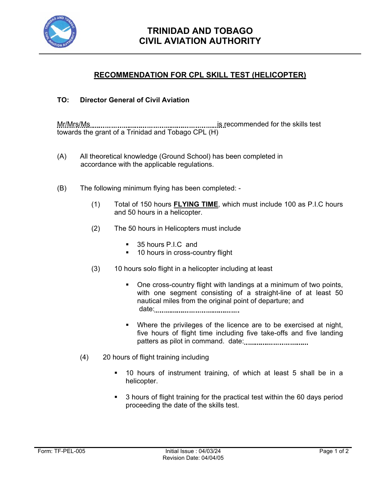

## **RECOMMENDATION FOR CPL SKILL TEST (HELICOPTER)**

## **TO: Director General of Civil Aviation**

Mr/Mrs/Ms is recommended for the skills test towards the grant of a Trinidad and Tobago CPL (H)

- (A) All theoretical knowledge (Ground School) has been completed in accordance with the applicable regulations.
- (B) The following minimum flying has been completed:
	- (1) Total of 150 hours **FLYING TIME**, which must include 100 as P.I.C hours and 50 hours in a helicopter.
	- (2) The 50 hours in Helicopters must include
		- 35 hours P.I.C and
		- **10 hours in cross-country flight**
	- (3) 10 hours solo flight in a helicopter including at least
		- One cross-country flight with landings at a minimum of two points, with one segment consisting of a straight-line of at least 50 nautical miles from the original point of departure; and date:
		- Where the privileges of the licence are to be exercised at night, five hours of flight time including five take-offs and five landing patters as pilot in command. date:
	- (4) 20 hours of flight training including
		- 10 hours of instrument training, of which at least 5 shall be in a helicopter.
		- 3 hours of flight training for the practical test within the 60 days period proceeding the date of the skills test.